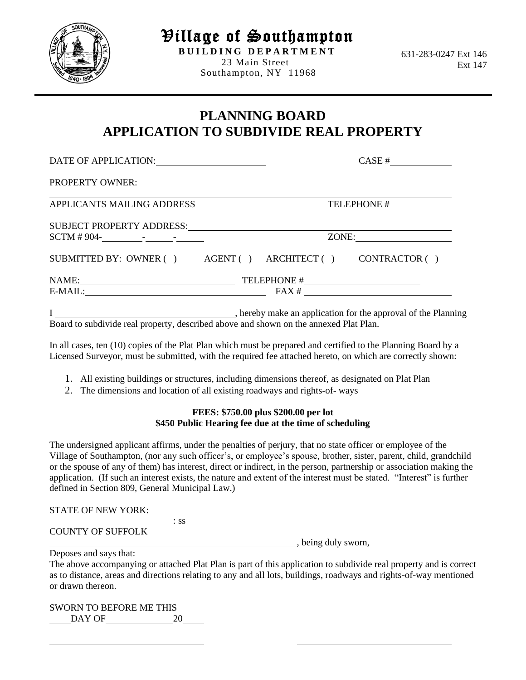

Village of Southampton

**B U I L D I N G D E P A R T M E N T** 23 Main Street Southampton, NY 11968

 631-283-0247 Ext 146 Ext 147

## **PLANNING BOARD APPLICATION TO SUBDIVIDE REAL PROPERTY**

| DATE OF APPLICATION:                                       |             |             | CASE #                                                   |
|------------------------------------------------------------|-------------|-------------|----------------------------------------------------------|
| PROPERTY OWNER: VALUE AND THE PROPERTY OWNER:              |             |             |                                                          |
| APPLICANTS MAILING ADDRESS                                 | TELEPHONE # |             |                                                          |
| SUBJECT PROPERTY ADDRESS:                                  | ZONE:       |             |                                                          |
| SUBMITTED BY: OWNER () AGENT () ARCHITECT () CONTRACTOR () |             |             |                                                          |
| NAME:<br>E-MAIL:                                           |             | TELEPHONE # | <u> 1989 - Andrea Andrew Maria (b. 1989)</u><br>$FAX \#$ |

I , hereby make an application for the approval of the Planning Board to subdivide real property, described above and shown on the annexed Plat Plan.

In all cases, ten (10) copies of the Plat Plan which must be prepared and certified to the Planning Board by a Licensed Surveyor, must be submitted, with the required fee attached hereto, on which are correctly shown:

- 1. All existing buildings or structures, including dimensions thereof, as designated on Plat Plan
- 2. The dimensions and location of all existing roadways and rights-of- ways

## **FEES: \$750.00 plus \$200.00 per lot \$450 Public Hearing fee due at the time of scheduling**

The undersigned applicant affirms, under the penalties of perjury, that no state officer or employee of the Village of Southampton, (nor any such officer's, or employee's spouse, brother, sister, parent, child, grandchild or the spouse of any of them) has interest, direct or indirect, in the person, partnership or association making the application. (If such an interest exists, the nature and extent of the interest must be stated. "Interest" is further defined in Section 809, General Municipal Law.)

STATE OF NEW YORK:

| <b>COUNTY OF SUFFOLK</b> |  |
|--------------------------|--|

, being duly sworn,

: ss

Deposes and says that:

The above accompanying or attached Plat Plan is part of this application to subdivide real property and is correct as to distance, areas and directions relating to any and all lots, buildings, roadways and rights-of-way mentioned or drawn thereon.

SWORN TO BEFORE ME THIS DAY OF 20